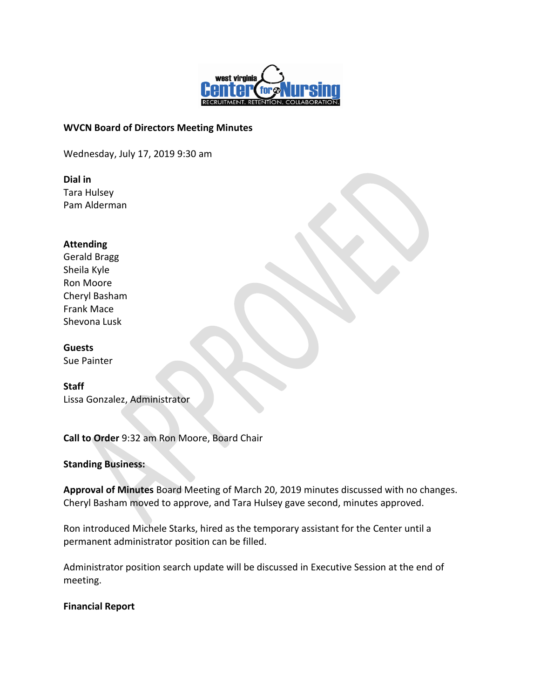

## **WVCN Board of Directors Meeting Minutes**

Wednesday, July 17, 2019 9:30 am

**Dial in** Tara Hulsey Pam Alderman

### **Attending**

Gerald Bragg Sheila Kyle Ron Moore Cheryl Basham Frank Mace Shevona Lusk

**Guests** Sue Painter

**Staff** Lissa Gonzalez, Administrator

**Call to Order** 9:32 am Ron Moore, Board Chair

**Standing Business:**

**Approval of Minutes** Board Meeting of March 20, 2019 minutes discussed with no changes. Cheryl Basham moved to approve, and Tara Hulsey gave second, minutes approved.

Ron introduced Michele Starks, hired as the temporary assistant for the Center until a permanent administrator position can be filled.

Administrator position search update will be discussed in Executive Session at the end of meeting.

**Financial Report**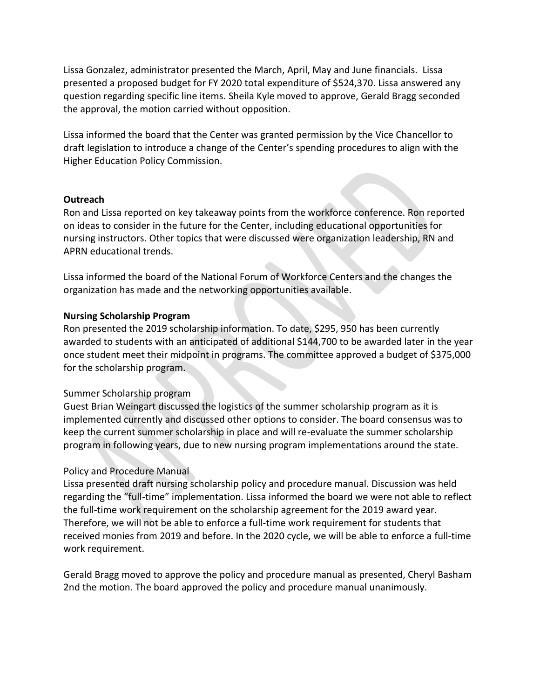Lissa Gonzalez, administrator presented the March, April, May and June financials. Lissa presented a proposed budget for FY 2020 total expenditure of \$524,370. Lissa answered any question regarding specific line items. Sheila Kyle moved to approve, Gerald Bragg seconded the approval, the motion carried without opposition.

Lissa informed the board that the Center was granted permission by the Vice Chancellor to draft legislation to introduce a change of the Center's spending procedures to align with the Higher Education Policy Commission.

### **Outreach**

Ron and Lissa reported on key takeaway points from the workforce conference. Ron reported on ideas to consider in the future for the Center, including educational opportunities for nursing instructors. Other topics that were discussed were organization leadership, RN and APRN educational trends.

Lissa informed the board of the National Forum of Workforce Centers and the changes the organization has made and the networking opportunities available.

### **Nursing Scholarship Program**

Ron presented the 2019 scholarship information. To date, \$295, 950 has been currently awarded to students with an anticipated of additional \$144,700 to be awarded later in the year once student meet their midpoint in programs. The committee approved a budget of \$375,000 for the scholarship program.

#### Summer Scholarship program

Guest Brian Weingart discussed the logistics of the summer scholarship program as it is implemented currently and discussed other options to consider. The board consensus was to keep the current summer scholarship in place and will re-evaluate the summer scholarship program in following years, due to new nursing program implementations around the state.

# Policy and Procedure Manual

Lissa presented draft nursing scholarship policy and procedure manual. Discussion was held regarding the "full-time" implementation. Lissa informed the board we were not able to reflect the full-time work requirement on the scholarship agreement for the 2019 award year. Therefore, we will not be able to enforce a full-time work requirement for students that received monies from 2019 and before. In the 2020 cycle, we will be able to enforce a full-time work requirement.

Gerald Bragg moved to approve the policy and procedure manual as presented, Cheryl Basham 2nd the motion. The board approved the policy and procedure manual unanimously.